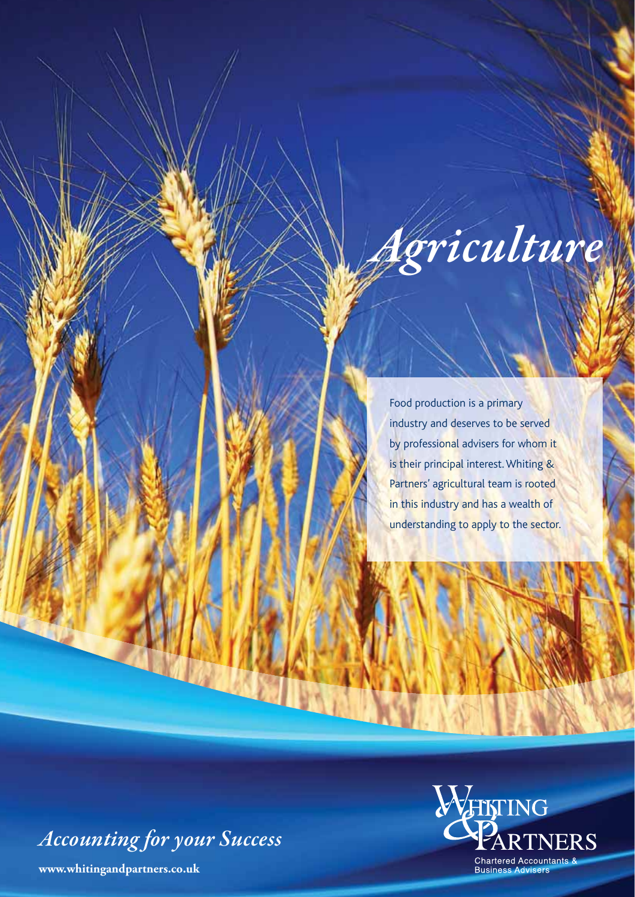

Food production is a primary industry and deserves to be served by professional advisers for whom it is their principal interest. Whiting & Partners' agricultural team is rooted in this industry and has a wealth of understanding to apply to the sector.

*Accounting for your Success*

**www.whitingandpartners.co.uk**